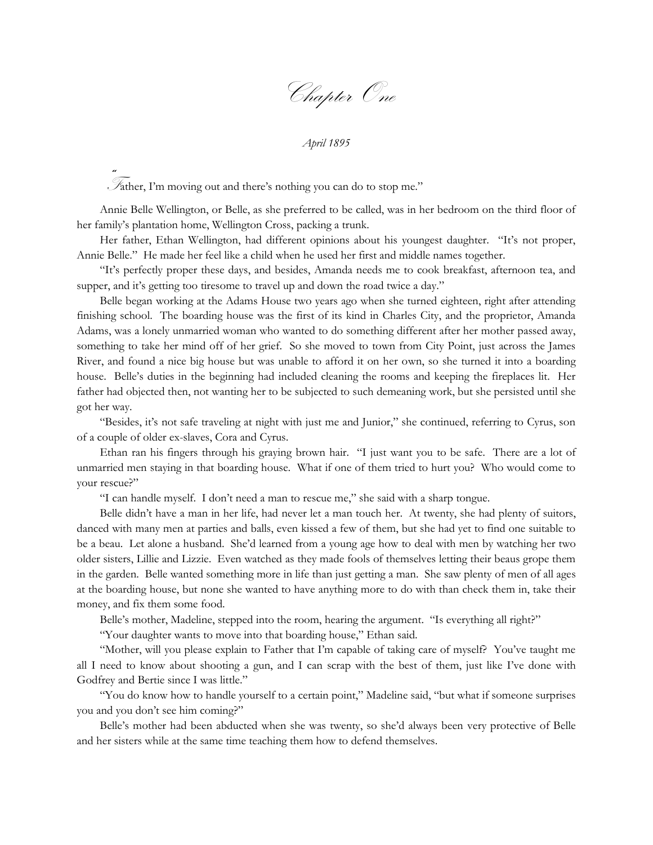Chapter One

*April 1895*

"<sup>F</sup>ather, I'm moving out and there's nothing you can do to stop me."

Annie Belle Wellington, or Belle, as she preferred to be called, was in her bedroom on the third floor of her family's plantation home, Wellington Cross, packing a trunk.

Her father, Ethan Wellington, had different opinions about his youngest daughter. "It's not proper, Annie Belle." He made her feel like a child when he used her first and middle names together.

"It's perfectly proper these days, and besides, Amanda needs me to cook breakfast, afternoon tea, and supper, and it's getting too tiresome to travel up and down the road twice a day."

Belle began working at the Adams House two years ago when she turned eighteen, right after attending finishing school. The boarding house was the first of its kind in Charles City, and the proprietor, Amanda Adams, was a lonely unmarried woman who wanted to do something different after her mother passed away, something to take her mind off of her grief. So she moved to town from City Point, just across the James River, and found a nice big house but was unable to afford it on her own, so she turned it into a boarding house. Belle's duties in the beginning had included cleaning the rooms and keeping the fireplaces lit. Her father had objected then, not wanting her to be subjected to such demeaning work, but she persisted until she got her way.

"Besides, it's not safe traveling at night with just me and Junior," she continued, referring to Cyrus, son of a couple of older ex-slaves, Cora and Cyrus.

Ethan ran his fingers through his graying brown hair. "I just want you to be safe. There are a lot of unmarried men staying in that boarding house. What if one of them tried to hurt you? Who would come to your rescue?"

"I can handle myself. I don't need a man to rescue me," she said with a sharp tongue.

Belle didn't have a man in her life, had never let a man touch her. At twenty, she had plenty of suitors, danced with many men at parties and balls, even kissed a few of them, but she had yet to find one suitable to be a beau. Let alone a husband. She'd learned from a young age how to deal with men by watching her two older sisters, Lillie and Lizzie. Even watched as they made fools of themselves letting their beaus grope them in the garden. Belle wanted something more in life than just getting a man. She saw plenty of men of all ages at the boarding house, but none she wanted to have anything more to do with than check them in, take their money, and fix them some food.

Belle's mother, Madeline, stepped into the room, hearing the argument. "Is everything all right?"

"Your daughter wants to move into that boarding house," Ethan said.

"Mother, will you please explain to Father that I'm capable of taking care of myself? You've taught me all I need to know about shooting a gun, and I can scrap with the best of them, just like I've done with Godfrey and Bertie since I was little."

"You do know how to handle yourself to a certain point," Madeline said, "but what if someone surprises you and you don't see him coming?"

Belle's mother had been abducted when she was twenty, so she'd always been very protective of Belle and her sisters while at the same time teaching them how to defend themselves.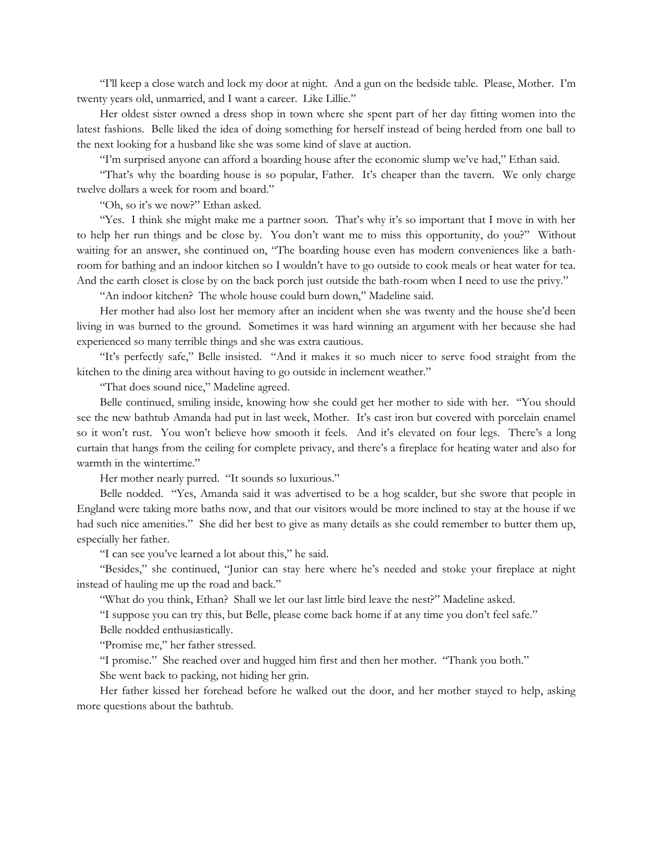"I'll keep a close watch and lock my door at night. And a gun on the bedside table. Please, Mother. I'm twenty years old, unmarried, and I want a career. Like Lillie."

Her oldest sister owned a dress shop in town where she spent part of her day fitting women into the latest fashions. Belle liked the idea of doing something for herself instead of being herded from one ball to the next looking for a husband like she was some kind of slave at auction.

"I'm surprised anyone can afford a boarding house after the economic slump we've had," Ethan said.

"That's why the boarding house is so popular, Father. It's cheaper than the tavern. We only charge twelve dollars a week for room and board."

"Oh, so it's we now?" Ethan asked.

"Yes. I think she might make me a partner soon. That's why it's so important that I move in with her to help her run things and be close by. You don't want me to miss this opportunity, do you?" Without waiting for an answer, she continued on, "The boarding house even has modern conveniences like a bathroom for bathing and an indoor kitchen so I wouldn't have to go outside to cook meals or heat water for tea. And the earth closet is close by on the back porch just outside the bath-room when I need to use the privy."

"An indoor kitchen? The whole house could burn down," Madeline said.

Her mother had also lost her memory after an incident when she was twenty and the house she'd been living in was burned to the ground. Sometimes it was hard winning an argument with her because she had experienced so many terrible things and she was extra cautious.

"It's perfectly safe," Belle insisted. "And it makes it so much nicer to serve food straight from the kitchen to the dining area without having to go outside in inclement weather."

"That does sound nice," Madeline agreed.

Belle continued, smiling inside, knowing how she could get her mother to side with her. "You should see the new bathtub Amanda had put in last week, Mother. It's cast iron but covered with porcelain enamel so it won't rust. You won't believe how smooth it feels. And it's elevated on four legs. There's a long curtain that hangs from the ceiling for complete privacy, and there's a fireplace for heating water and also for warmth in the wintertime."

Her mother nearly purred. "It sounds so luxurious."

Belle nodded. "Yes, Amanda said it was advertised to be a hog scalder, but she swore that people in England were taking more baths now, and that our visitors would be more inclined to stay at the house if we had such nice amenities." She did her best to give as many details as she could remember to butter them up, especially her father.

"I can see you've learned a lot about this," he said.

"Besides," she continued, "Junior can stay here where he's needed and stoke your fireplace at night instead of hauling me up the road and back."

"What do you think, Ethan? Shall we let our last little bird leave the nest?" Madeline asked.

"I suppose you can try this, but Belle, please come back home if at any time you don't feel safe."

Belle nodded enthusiastically.

"Promise me," her father stressed.

"I promise." She reached over and hugged him first and then her mother. "Thank you both."

She went back to packing, not hiding her grin.

Her father kissed her forehead before he walked out the door, and her mother stayed to help, asking more questions about the bathtub.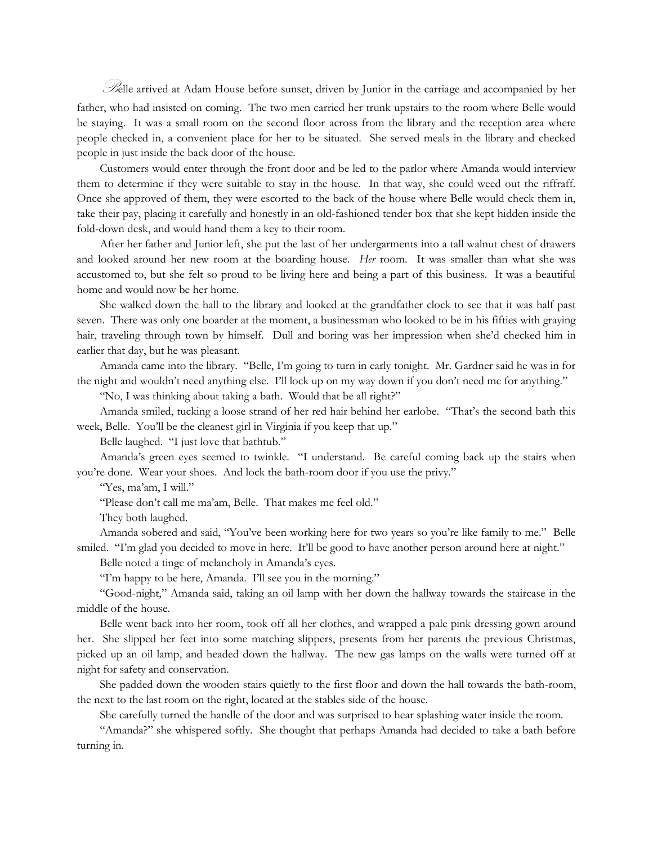Belle arrived at Adam House before sunset, driven by Junior in the carriage and accompanied by her father, who had insisted on coming. The two men carried her trunk upstairs to the room where Belle would be staying. It was a small room on the second floor across from the library and the reception area where people checked in, a convenient place for her to be situated. She served meals in the library and checked people in just inside the back door of the house.

Customers would enter through the front door and be led to the parlor where Amanda would interview them to determine if they were suitable to stay in the house. In that way, she could weed out the riffraff. Once she approved of them, they were escorted to the back of the house where Belle would check them in, take their pay, placing it carefully and honestly in an old-fashioned tender box that she kept hidden inside the fold-down desk, and would hand them a key to their room.

After her father and Junior left, she put the last of her undergarments into a tall walnut chest of drawers and looked around her new room at the boarding house. *Her* room. It was smaller than what she was accustomed to, but she felt so proud to be living here and being a part of this business. It was a beautiful home and would now be her home.

She walked down the hall to the library and looked at the grandfather clock to see that it was half past seven. There was only one boarder at the moment, a businessman who looked to be in his fifties with graying hair, traveling through town by himself. Dull and boring was her impression when she'd checked him in earlier that day, but he was pleasant.

Amanda came into the library. "Belle, I'm going to turn in early tonight. Mr. Gardner said he was in for the night and wouldn't need anything else. I'll lock up on my way down if you don't need me for anything."

"No, I was thinking about taking a bath. Would that be all right?"

Amanda smiled, tucking a loose strand of her red hair behind her earlobe. "That's the second bath this week, Belle. You'll be the cleanest girl in Virginia if you keep that up."

Belle laughed. "I just love that bathtub."

Amanda's green eyes seemed to twinkle. "I understand. Be careful coming back up the stairs when you're done. Wear your shoes. And lock the bath-room door if you use the privy."

"Yes, ma'am, I will."

"Please don't call me ma'am, Belle. That makes me feel old."

They both laughed.

Amanda sobered and said, "You've been working here for two years so you're like family to me." Belle smiled. "I'm glad you decided to move in here. It'll be good to have another person around here at night."

Belle noted a tinge of melancholy in Amanda's eyes.

"I'm happy to be here, Amanda. I'll see you in the morning."

"Good-night," Amanda said, taking an oil lamp with her down the hallway towards the staircase in the middle of the house.

Belle went back into her room, took off all her clothes, and wrapped a pale pink dressing gown around her. She slipped her feet into some matching slippers, presents from her parents the previous Christmas, picked up an oil lamp, and headed down the hallway. The new gas lamps on the walls were turned off at night for safety and conservation.

She padded down the wooden stairs quietly to the first floor and down the hall towards the bath-room, the next to the last room on the right, located at the stables side of the house.

She carefully turned the handle of the door and was surprised to hear splashing water inside the room.

"Amanda?" she whispered softly. She thought that perhaps Amanda had decided to take a bath before turning in.